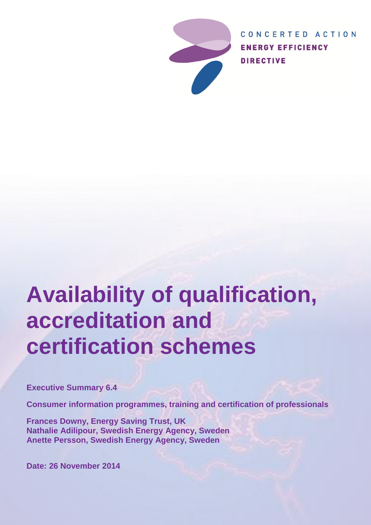

CONCERTED ACTION **ENERGY EFFICIENCY DIRECTIVE** 

# **Availability of qualification, accreditation and certification schemes**

**Executive Summary 6.4**

**Consumer information programmes, training and certification of professionals**

**Frances Downy, Energy Saving Trust, UK Nathalie Adilipour, Swedish Energy Agency, Sweden Anette Persson, Swedish Energy Agency, Sweden**

**Date: 26 November 2014**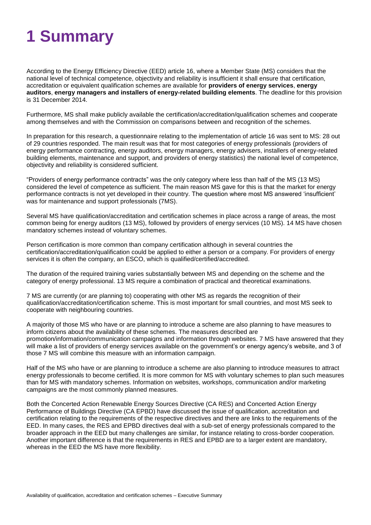## **1 Summary**

According to the Energy Efficiency Directive (EED) article 16, where a Member State (MS) considers that the national level of technical competence, objectivity and reliability is insufficient it shall ensure that certification, accreditation or equivalent qualification schemes are available for **providers of energy services**, **energy auditors**, **energy managers and installers of energy-related building elements**. The deadline for this provision is 31 December 2014.

Furthermore, MS shall make publicly available the certification/accreditation/qualification schemes and cooperate among themselves and with the Commission on comparisons between and recognition of the schemes.

In preparation for this research, a questionnaire relating to the implementation of article 16 was sent to MS: 28 out of 29 countries responded. The main result was that for most categories of energy professionals (providers of energy performance contracting, energy auditors, energy managers, energy advisers, installers of energy-related building elements, maintenance and support, and providers of energy statistics) the national level of competence, objectivity and reliability is considered sufficient.

"Providers of energy performance contracts" was the only category where less than half of the MS (13 MS) considered the level of competence as sufficient. The main reason MS gave for this is that the market for energy performance contracts is not yet developed in their country. The question where most MS answered 'insufficient' was for maintenance and support professionals (7MS).

Several MS have qualification/accreditation and certification schemes in place across a range of areas, the most common being for energy auditors (13 MS), followed by providers of energy services (10 MS). 14 MS have chosen mandatory schemes instead of voluntary schemes.

Person certification is more common than company certification although in several countries the certification/accreditation/qualification could be applied to either a person or a company. For providers of energy services it is often the company, an ESCO, which is qualified/certified/accredited.

The duration of the required training varies substantially between MS and depending on the scheme and the category of energy professional. 13 MS require a combination of practical and theoretical examinations.

7 MS are currently (or are planning to) cooperating with other MS as regards the recognition of their qualification/accreditation/certification scheme. This is most important for small countries, and most MS seek to cooperate with neighbouring countries.

A majority of those MS who have or are planning to introduce a scheme are also planning to have measures to inform citizens about the availability of these schemes. The measures described are promotion/information/communication campaigns and information through websites. 7 MS have answered that they will make a list of providers of energy services available on the government's or energy agency's website, and 3 of those 7 MS will combine this measure with an information campaign.

Half of the MS who have or are planning to introduce a scheme are also planning to introduce measures to attract energy professionals to become certified. It is more common for MS with voluntary schemes to plan such measures than for MS with mandatory schemes. Information on websites, workshops, communication and/or marketing campaigns are the most commonly planned measures.

Both the Concerted Action Renewable Energy Sources Directive (CA RES) and Concerted Action Energy Performance of Buildings Directive (CA EPBD) have discussed the issue of qualification, accreditation and certification relating to the requirements of the respective directives and there are links to the requirements of the EED. In many cases, the RES and EPBD directives deal with a sub-set of energy professionals compared to the broader approach in the EED but many challenges are similar, for instance relating to cross-border cooperation. Another important difference is that the requirements in RES and EPBD are to a larger extent are mandatory, whereas in the EED the MS have more flexibility.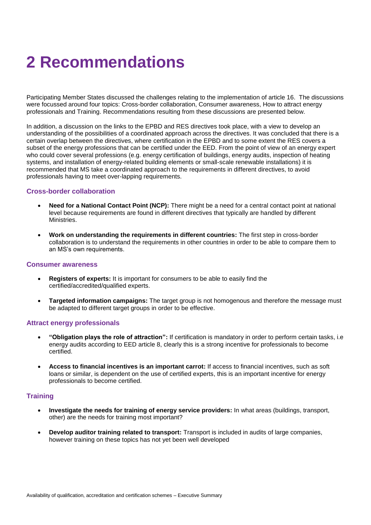### **2 Recommendations**

Participating Member States discussed the challenges relating to the implementation of article 16. The discussions were focussed around four topics: Cross-border collaboration, Consumer awareness, How to attract energy professionals and Training. Recommendations resulting from these discussions are presented below.

In addition, a discussion on the links to the EPBD and RES directives took place, with a view to develop an understanding of the possibilities of a coordinated approach across the directives. It was concluded that there is a certain overlap between the directives, where certification in the EPBD and to some extent the RES covers a subset of the energy professions that can be certified under the EED. From the point of view of an energy expert who could cover several professions (e.g. energy certification of buildings, energy audits, inspection of heating systems, and installation of energy-related building elements or small-scale renewable installations) it is recommended that MS take a coordinated approach to the requirements in different directives, to avoid professionals having to meet over-lapping requirements.

#### **Cross-border collaboration**

- **Need for a National Contact Point (NCP):** There might be a need for a central contact point at national level because requirements are found in different directives that typically are handled by different Ministries.
- **Work on understanding the requirements in different countries:** The first step in cross-border collaboration is to understand the requirements in other countries in order to be able to compare them to an MS's own requirements.

#### **Consumer awareness**

- **Registers of experts:** It is important for consumers to be able to easily find the certified/accredited/qualified experts.
- **Targeted information campaigns:** The target group is not homogenous and therefore the message must be adapted to different target groups in order to be effective.

#### **Attract energy professionals**

- **"Obligation plays the role of attraction":** If certification is mandatory in order to perform certain tasks, i.e energy audits according to EED article 8, clearly this is a strong incentive for professionals to become certified.
- **Access to financial incentives is an important carrot:** If access to financial incentives, such as soft loans or similar, is dependent on the use of certified experts, this is an important incentive for energy professionals to become certified.

#### **Training**

- **Investigate the needs for training of energy service providers:** In what areas (buildings, transport, other) are the needs for training most important?
- **Develop auditor training related to transport:** Transport is included in audits of large companies, however training on these topics has not yet been well developed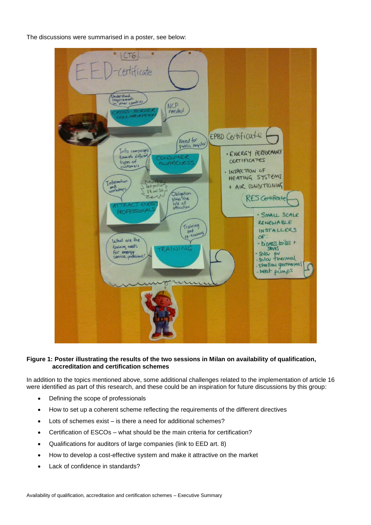The discussions were summarised in a poster, see below:



#### **Figure 1: Poster illustrating the results of the two sessions in Milan on availability of qualification, accreditation and certification schemes**

In addition to the topics mentioned above, some additional challenges related to the implementation of article 16 were identified as part of this research, and these could be an inspiration for future discussions by this group:

- Defining the scope of professionals
- How to set up a coherent scheme reflecting the requirements of the different directives
- Lots of schemes exist is there a need for additional schemes?
- Certification of ESCOs what should be the main criteria for certification?
- Qualifications for auditors of large companies (link to EED art. 8)
- How to develop a cost-effective system and make it attractive on the market
- Lack of confidence in standards?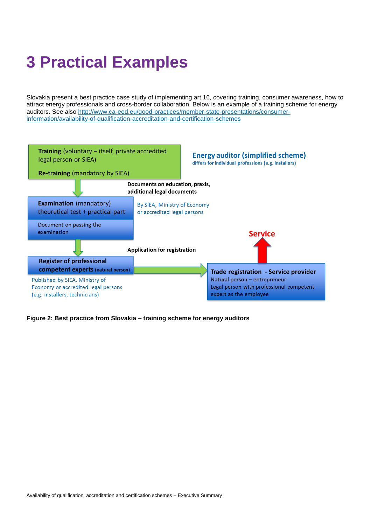### **3 Practical Examples**

Slovakia present a best practice case study of implementing art.16, covering training, consumer awareness, how to attract energy professionals and cross-border collaboration. Below is an example of a training scheme for energy auditors. See also [http://www.ca-eed.eu/good-practices/member-state-presentations/consumer](http://www.ca-eed.eu/good-practices/member-state-presentations/consumer-information/availability-of-qualification-accreditation-and-certification-schemes)[information/availability-of-qualification-accreditation-and-certification-schemes](http://www.ca-eed.eu/good-practices/member-state-presentations/consumer-information/availability-of-qualification-accreditation-and-certification-schemes)



**Figure 2: Best practice from Slovakia – training scheme for energy auditors**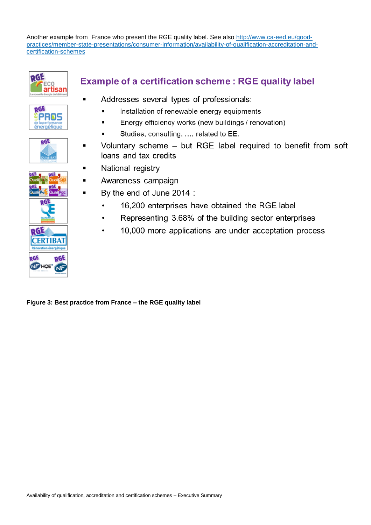Another example from France who present the RGE quality label. See also [http://www.ca-eed.eu/good](http://www.ca-eed.eu/good-practices/member-state-presentations/consumer-information/availability-of-qualification-accreditation-and-certification-schemes)[practices/member-state-presentations/consumer-information/availability-of-qualification-accreditation-and](http://www.ca-eed.eu/good-practices/member-state-presentations/consumer-information/availability-of-qualification-accreditation-and-certification-schemes)[certification-schemes](http://www.ca-eed.eu/good-practices/member-state-presentations/consumer-information/availability-of-qualification-accreditation-and-certification-schemes)







### **Example of a certification scheme: RGE quality label**

- Addresses several types of professionals:
	- Installation of renewable energy equipments
	- Energy efficiency works (new buildings / renovation)
	- Studies, consulting, ..., related to EE.
- Voluntary scheme but RGE label required to benefit from soft loans and tax credits
- National registry
- Awareness campaign
- By the end of June 2014 :
	- 16,200 enterprises have obtained the RGE label  $\bullet$
	- Representing 3.68% of the building sector enterprises
	- 10,000 more applications are under acceptation process

**Figure 3: Best practice from France – the RGE quality label**